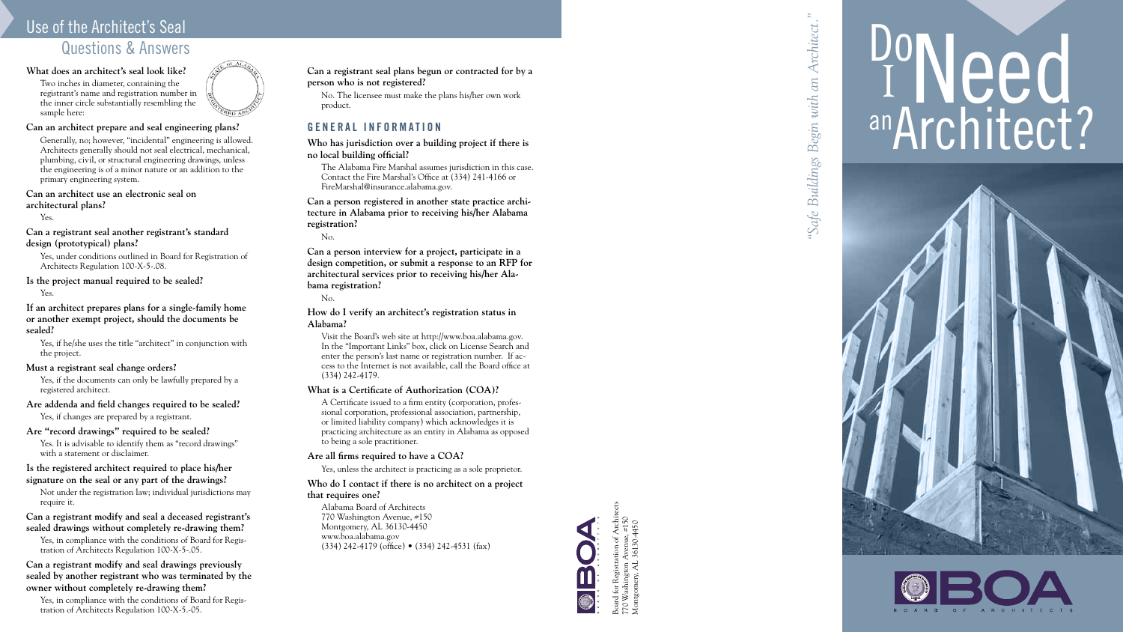# Use of the Architect's Seal Questions & Answers

## **What does an architect's seal look like?**

Two inches in diameter, containing the registrant's name and registration number in the inner circle substantially resembling the sample here:

### **Can an architect prepare and seal engineering plans?**

Generally, no; however, "incidental" engineering is allowed. Architects generally should not seal electrical, mechanical, plumbing, civil, or structural engineering drawings, unless the engineering is of a minor nature or an addition to the primary engineering system.

### **Can an architect use an electronic seal on architectural plans?**

Yes.

### **Can a registrant seal another registrant's standard design (prototypical) plans?**

Yes, under conditions outlined in Board for Registration of Architects Regulation 100-X-5-.08.

## **Is the project manual required to be sealed?**

Yes.

Yes, in compliance with the conditions of Board for Registration of Architects Regulation 100-X-5-.05.

**If an architect prepares plans for a single-family home or another exempt project, should the documents be sealed?** 

Yes, in compliance with the conditions of Board for Registration of Architects Regulation 100-X-5.-05.

Yes, if he/she uses the title "architect" in conjunction with the project.



### **Must a registrant seal change orders?**

Yes, if the documents can only be lawfully prepared by a registered architect.

### **Are addenda and field changes required to be sealed?**

Yes, if changes are prepared by a registrant.

### **Are "record drawings" required to be sealed?**

Yes. It is advisable to identify them as "record drawings" with a statement or disclaimer.

#### **Is the registered architect required to place his/her signature on the seal or any part of the drawings?**

Not under the registration law; individual jurisdictions may require it.

**Can a registrant modify and seal a deceased registrant's sealed drawings without completely re-drawing them?**

## **Can a registrant modify and seal drawings previously sealed by another registrant who was terminated by the owner without completely re-drawing them?**

*"Safe Buildings Begin with an Architect."*Architect  $an$ . 'Safe Buildings Begin with

# Poneed **TINEEU**<br>anArchitect?





**Can a registrant seal plans begun or contracted for by a person who is not registered?**

No. The licensee must make the plans his/her own work product.

## **GENERAL INFORMATION**

**Who has jurisdiction over a building project if there is no local building official?**

The Alabama Fire Marshal assumes jurisdiction in this case. Contact the Fire Marshal's Office at (334) 241-4166 or FireMarshal@insurance.alabama.gov.

**Can a person registered in another state practice archi tecture in Alabama prior to receiving his/her Alabama registration?**

No.

**Can a person interview for a project, participate in a design competition, or submit a response to an RFP for architectural services prior to receiving his/her Ala bama registration?**

No.

**How do I verify an architect's registration status in Alabama?**

Visit the Board's web site at http://www.boa.alabama.gov. In the "Important Links" box, click on License Search and enter the person's last name or registration number. If ac cess to the Internet is not available, call the Board office at (334) 242-4179.

## **What is a Certificate of Authorization (COA)?**

A Certificate issued to a firm entity (corporation, profes sional corporation, professional association, partnership, or limited liability company) which acknowledges it is practicing architecture as an entity in Alabama as opposed to being a sole practitioner.

### **Are all firms required to have a COA?**

Yes, unless the architect is practicing as a sole proprietor.

## **Who do I contact if there is no architect on a project that requires one?**

Alabama Board of Architects 770 Washington Avenue, #150 Montgomery, AL 36130-4450 www.boa.alabama.gov (334) 242-4179 (office) • (334) 242-4531 (fax)



Montgomery, AL 36130-4450